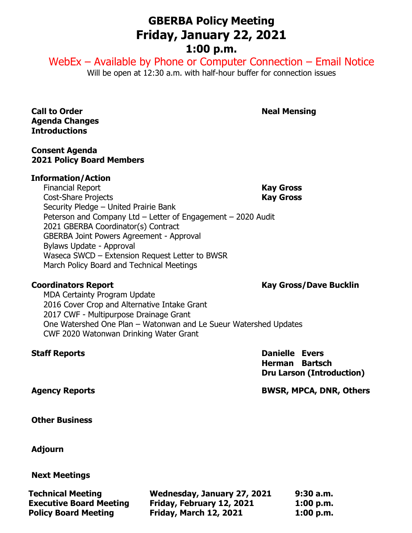# **GBERBA Policy Meeting Friday, January 22, 2021 1:00 p.m.**

WebEx – Available by Phone or Computer Connection – Email Notice Will be open at 12:30 a.m. with half-hour buffer for connection issues

**Call** to Order **Neal** Mensing **Agenda Changes Introductions**

## **Consent Agenda 2021 Policy Board Members**

## **Information/Action**

Financial Report **Kay Gross** Cost-Share Projects **Kay Gross** Security Pledge – United Prairie Bank Peterson and Company Ltd – Letter of Engagement – 2020 Audit 2021 GBERBA Coordinator(s) Contract GBERBA Joint Powers Agreement - Approval Bylaws Update - Approval Waseca SWCD – Extension Request Letter to BWSR March Policy Board and Technical Meetings

**Coordinators Report Kay Gross/Dave Bucklin**

MDA Certainty Program Update 2016 Cover Crop and Alternative Intake Grant 2017 CWF - Multipurpose Drainage Grant One Watershed One Plan – Watonwan and Le Sueur Watershed Updates CWF 2020 Watonwan Drinking Water Grant

**Staff Reports Danielle Evers Herman Bartsch Dru Larson (Introduction)**

**Agency Reports BWSR, MPCA, DNR, Others** 

**Other Business**

# **Adjourn**

# **Next Meetings**

| Technical Meeting              | Wednesday, January 27, 2021   | 9:30a.m.  |
|--------------------------------|-------------------------------|-----------|
| <b>Executive Board Meeting</b> | Friday, February 12, 2021     | 1:00 p.m. |
| <b>Policy Board Meeting</b>    | <b>Friday, March 12, 2021</b> | 1:00 p.m. |